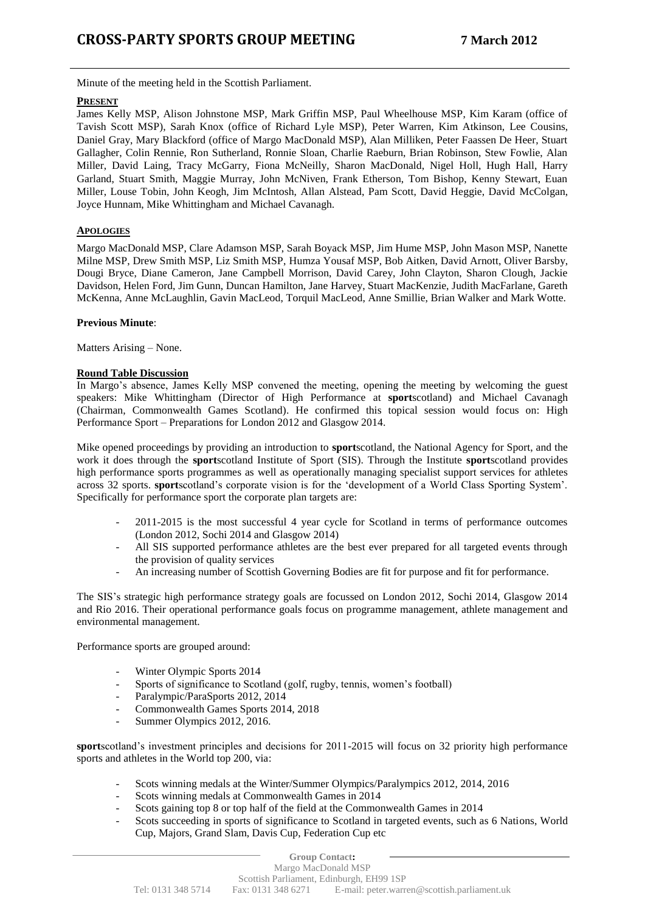Minute of the meeting held in the Scottish Parliament.

## **PRESENT**

James Kelly MSP, Alison Johnstone MSP, Mark Griffin MSP, Paul Wheelhouse MSP, Kim Karam (office of Tavish Scott MSP), Sarah Knox (office of Richard Lyle MSP), Peter Warren, Kim Atkinson, Lee Cousins, Daniel Gray, Mary Blackford (office of Margo MacDonald MSP), Alan Milliken, Peter Faassen De Heer, Stuart Gallagher, Colin Rennie, Ron Sutherland, Ronnie Sloan, Charlie Raeburn, Brian Robinson, Stew Fowlie, Alan Miller, David Laing, Tracy McGarry, Fiona McNeilly, Sharon MacDonald, Nigel Holl, Hugh Hall, Harry Garland, Stuart Smith, Maggie Murray, John McNiven, Frank Etherson, Tom Bishop, Kenny Stewart, Euan Miller, Louse Tobin, John Keogh, Jim McIntosh, Allan Alstead, Pam Scott, David Heggie, David McColgan, Joyce Hunnam, Mike Whittingham and Michael Cavanagh.

## **APOLOGIES**

Margo MacDonald MSP, Clare Adamson MSP, Sarah Boyack MSP, Jim Hume MSP, John Mason MSP, Nanette Milne MSP, Drew Smith MSP, Liz Smith MSP, Humza Yousaf MSP, Bob Aitken, David Arnott, Oliver Barsby, Dougi Bryce, Diane Cameron, Jane Campbell Morrison, David Carey, John Clayton, Sharon Clough, Jackie Davidson, Helen Ford, Jim Gunn, Duncan Hamilton, Jane Harvey, Stuart MacKenzie, Judith MacFarlane, Gareth McKenna, Anne McLaughlin, Gavin MacLeod, Torquil MacLeod, Anne Smillie, Brian Walker and Mark Wotte.

## **Previous Minute**:

Matters Arising – None.

## **Round Table Discussion**

In Margo's absence, James Kelly MSP convened the meeting, opening the meeting by welcoming the guest speakers: Mike Whittingham (Director of High Performance at **sport**scotland) and Michael Cavanagh (Chairman, Commonwealth Games Scotland). He confirmed this topical session would focus on: High Performance Sport – Preparations for London 2012 and Glasgow 2014.

Mike opened proceedings by providing an introduction to **sport**scotland, the National Agency for Sport, and the work it does through the **sport**scotland Institute of Sport (SIS). Through the Institute **sport**scotland provides high performance sports programmes as well as operationally managing specialist support services for athletes across 32 sports. **sport**scotland's corporate vision is for the 'development of a World Class Sporting System'. Specifically for performance sport the corporate plan targets are:

- 2011-2015 is the most successful 4 year cycle for Scotland in terms of performance outcomes (London 2012, Sochi 2014 and Glasgow 2014)
- All SIS supported performance athletes are the best ever prepared for all targeted events through the provision of quality services
- An increasing number of Scottish Governing Bodies are fit for purpose and fit for performance.

The SIS's strategic high performance strategy goals are focussed on London 2012, Sochi 2014, Glasgow 2014 and Rio 2016. Their operational performance goals focus on programme management, athlete management and environmental management.

Performance sports are grouped around:

- Winter Olympic Sports 2014
- Sports of significance to Scotland (golf, rugby, tennis, women's football)
- Paralympic/ParaSports 2012, 2014
- Commonwealth Games Sports 2014, 2018
- Summer Olympics 2012, 2016.

**sport**scotland's investment principles and decisions for 2011-2015 will focus on 32 priority high performance sports and athletes in the World top 200, via:

- Scots winning medals at the Winter/Summer Olympics/Paralympics 2012, 2014, 2016
- Scots winning medals at Commonwealth Games in 2014
- Scots gaining top 8 or top half of the field at the Commonwealth Games in 2014
- Scots succeeding in sports of significance to Scotland in targeted events, such as 6 Nations, World Cup, Majors, Grand Slam, Davis Cup, Federation Cup etc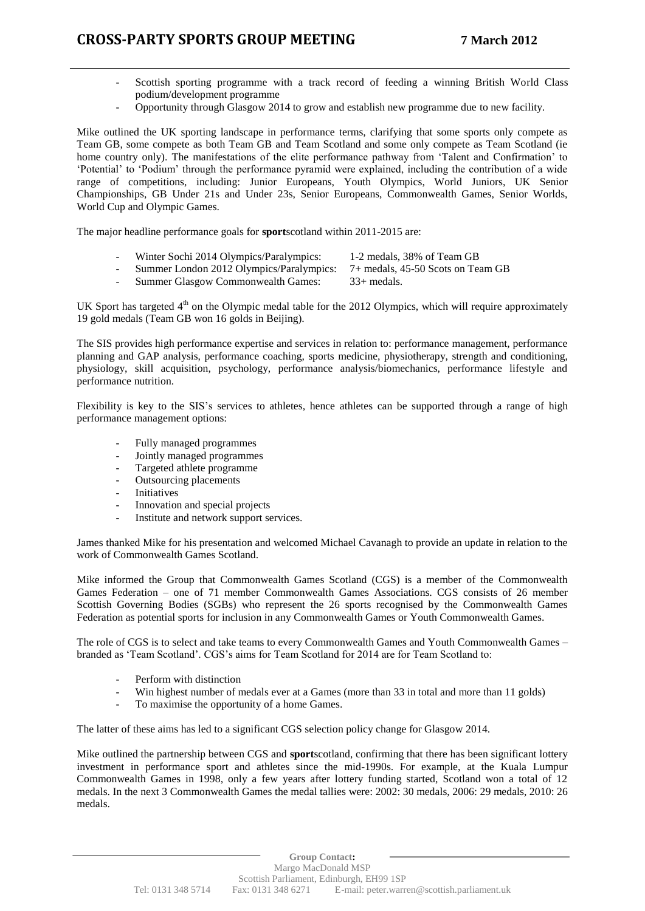- Scottish sporting programme with a track record of feeding a winning British World Class podium/development programme
- Opportunity through Glasgow 2014 to grow and establish new programme due to new facility.

Mike outlined the UK sporting landscape in performance terms, clarifying that some sports only compete as Team GB, some compete as both Team GB and Team Scotland and some only compete as Team Scotland (ie home country only). The manifestations of the elite performance pathway from 'Talent and Confirmation' to 'Potential' to 'Podium' through the performance pyramid were explained, including the contribution of a wide range of competitions, including: Junior Europeans, Youth Olympics, World Juniors, UK Senior Championships, GB Under 21s and Under 23s, Senior Europeans, Commonwealth Games, Senior Worlds, World Cup and Olympic Games.

The major headline performance goals for **sport**scotland within 2011-2015 are:

- Winter Sochi 2014 Olympics/Paralympics: 1-2 medals, 38% of Team GB<br>Summer London 2012 Olympics/Paralympics: 7+ medals, 45-50 Scots on Team GB
	-
- Summer London 2012 Olympics/Paralympics:
	-
- Summer Glasgow Commonwealth Games:  $33+$  medals.

UK Sport has targeted  $4<sup>th</sup>$  on the Olympic medal table for the 2012 Olympics, which will require approximately 19 gold medals (Team GB won 16 golds in Beijing).

The SIS provides high performance expertise and services in relation to: performance management, performance planning and GAP analysis, performance coaching, sports medicine, physiotherapy, strength and conditioning, physiology, skill acquisition, psychology, performance analysis/biomechanics, performance lifestyle and performance nutrition.

Flexibility is key to the SIS's services to athletes, hence athletes can be supported through a range of high performance management options:

- Fully managed programmes
- Jointly managed programmes
- Targeted athlete programme
- Outsourcing placements
- **Initiatives**
- Innovation and special projects
- Institute and network support services.

James thanked Mike for his presentation and welcomed Michael Cavanagh to provide an update in relation to the work of Commonwealth Games Scotland.

Mike informed the Group that Commonwealth Games Scotland (CGS) is a member of the Commonwealth Games Federation – one of 71 member Commonwealth Games Associations. CGS consists of 26 member Scottish Governing Bodies (SGBs) who represent the 26 sports recognised by the Commonwealth Games Federation as potential sports for inclusion in any Commonwealth Games or Youth Commonwealth Games.

The role of CGS is to select and take teams to every Commonwealth Games and Youth Commonwealth Games – branded as 'Team Scotland'. CGS's aims for Team Scotland for 2014 are for Team Scotland to:

- Perform with distinction
- Win highest number of medals ever at a Games (more than 33 in total and more than 11 golds)
- To maximise the opportunity of a home Games.

The latter of these aims has led to a significant CGS selection policy change for Glasgow 2014.

Mike outlined the partnership between CGS and **sport**scotland, confirming that there has been significant lottery investment in performance sport and athletes since the mid-1990s. For example, at the Kuala Lumpur Commonwealth Games in 1998, only a few years after lottery funding started, Scotland won a total of 12 medals. In the next 3 Commonwealth Games the medal tallies were: 2002: 30 medals, 2006: 29 medals, 2010: 26 medals.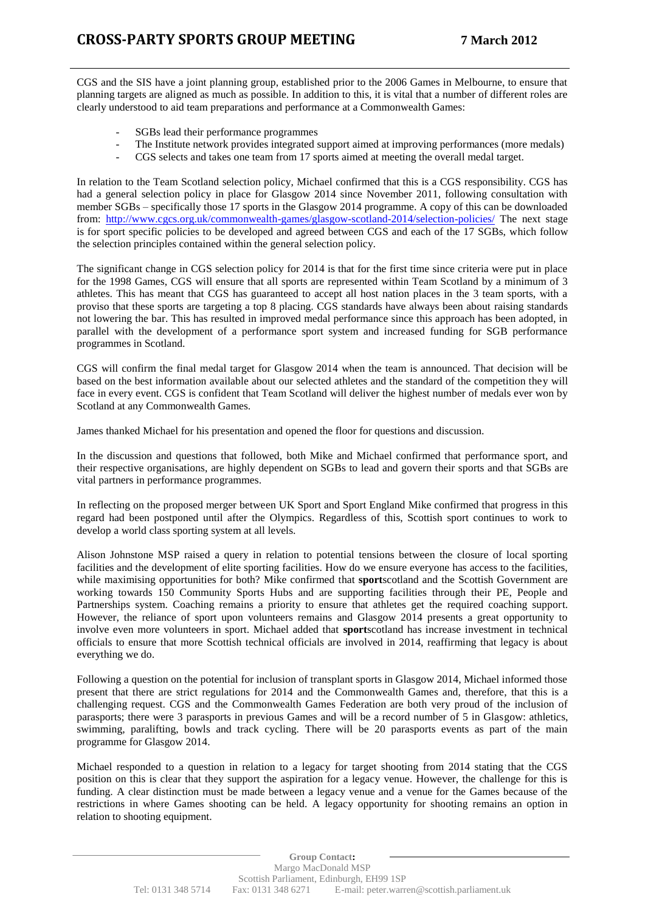CGS and the SIS have a joint planning group, established prior to the 2006 Games in Melbourne, to ensure that planning targets are aligned as much as possible. In addition to this, it is vital that a number of different roles are clearly understood to aid team preparations and performance at a Commonwealth Games:

- SGBs lead their performance programmes
- The Institute network provides integrated support aimed at improving performances (more medals)
- CGS selects and takes one team from 17 sports aimed at meeting the overall medal target.

In relation to the Team Scotland selection policy, Michael confirmed that this is a CGS responsibility. CGS has had a general selection policy in place for Glasgow 2014 since November 2011, following consultation with member SGBs – specifically those 17 sports in the Glasgow 2014 programme. A copy of this can be downloaded from: <http://www.cgcs.org.uk/commonwealth-games/glasgow-scotland-2014/selection-policies/> The next stage is for sport specific policies to be developed and agreed between CGS and each of the 17 SGBs, which follow the selection principles contained within the general selection policy.

The significant change in CGS selection policy for 2014 is that for the first time since criteria were put in place for the 1998 Games, CGS will ensure that all sports are represented within Team Scotland by a minimum of 3 athletes. This has meant that CGS has guaranteed to accept all host nation places in the 3 team sports, with a proviso that these sports are targeting a top 8 placing. CGS standards have always been about raising standards not lowering the bar. This has resulted in improved medal performance since this approach has been adopted, in parallel with the development of a performance sport system and increased funding for SGB performance programmes in Scotland.

CGS will confirm the final medal target for Glasgow 2014 when the team is announced. That decision will be based on the best information available about our selected athletes and the standard of the competition they will face in every event. CGS is confident that Team Scotland will deliver the highest number of medals ever won by Scotland at any Commonwealth Games.

James thanked Michael for his presentation and opened the floor for questions and discussion.

In the discussion and questions that followed, both Mike and Michael confirmed that performance sport, and their respective organisations, are highly dependent on SGBs to lead and govern their sports and that SGBs are vital partners in performance programmes.

In reflecting on the proposed merger between UK Sport and Sport England Mike confirmed that progress in this regard had been postponed until after the Olympics. Regardless of this, Scottish sport continues to work to develop a world class sporting system at all levels.

Alison Johnstone MSP raised a query in relation to potential tensions between the closure of local sporting facilities and the development of elite sporting facilities. How do we ensure everyone has access to the facilities, while maximising opportunities for both? Mike confirmed that **sport**scotland and the Scottish Government are working towards 150 Community Sports Hubs and are supporting facilities through their PE, People and Partnerships system. Coaching remains a priority to ensure that athletes get the required coaching support. However, the reliance of sport upon volunteers remains and Glasgow 2014 presents a great opportunity to involve even more volunteers in sport. Michael added that **sport**scotland has increase investment in technical officials to ensure that more Scottish technical officials are involved in 2014, reaffirming that legacy is about everything we do.

Following a question on the potential for inclusion of transplant sports in Glasgow 2014, Michael informed those present that there are strict regulations for 2014 and the Commonwealth Games and, therefore, that this is a challenging request. CGS and the Commonwealth Games Federation are both very proud of the inclusion of parasports; there were 3 parasports in previous Games and will be a record number of 5 in Glasgow: athletics, swimming, paralifting, bowls and track cycling. There will be 20 parasports events as part of the main programme for Glasgow 2014.

Michael responded to a question in relation to a legacy for target shooting from 2014 stating that the CGS position on this is clear that they support the aspiration for a legacy venue. However, the challenge for this is funding. A clear distinction must be made between a legacy venue and a venue for the Games because of the restrictions in where Games shooting can be held. A legacy opportunity for shooting remains an option in relation to shooting equipment.